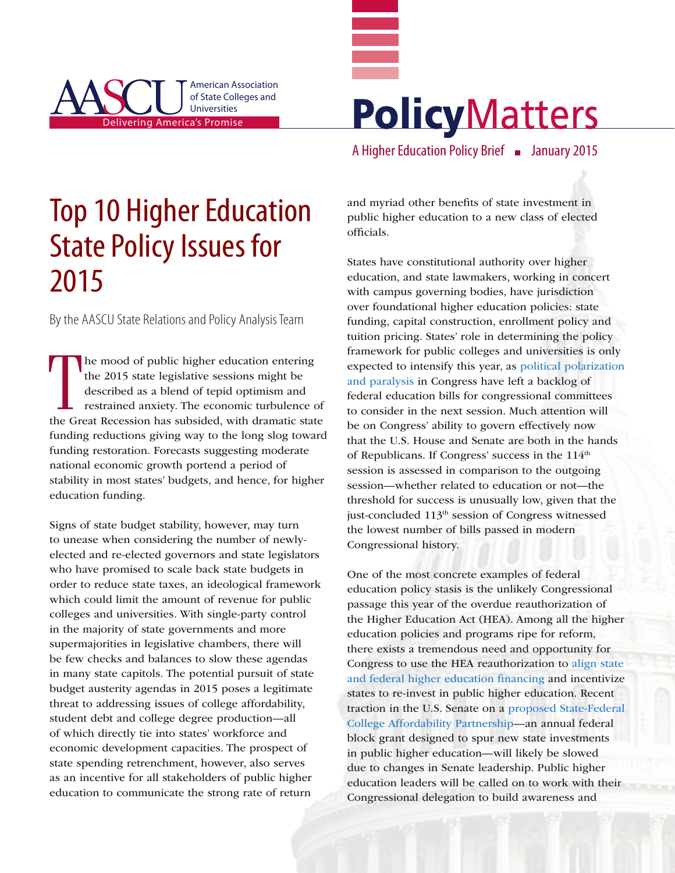



A Higher Education Policy Brief **n** January 2015

# Top 10 Higher Education State Policy Issues for 2015

By the AASCU State Relations and Policy Analysis Team

The mood of public higher education entering<br>the 2015 state legislative sessions might be<br>described as a blend of tepid optimism and<br>restrained anxiety. The economic turbulence of<br>the Great Recession has subsided, with dra he mood of public higher education entering the 2015 state legislative sessions might be described as a blend of tepid optimism and restrained anxiety. The economic turbulence of funding reductions giving way to the long slog toward funding restoration. Forecasts suggesting moderate national economic growth portend a period of stability in most states' budgets, and hence, for higher education funding.

Signs of state budget stability, however, may turn to unease when considering the number of newlyelected and re-elected governors and state legislators who have promised to scale back state budgets in order to reduce state taxes, an ideological framework which could limit the amount of revenue for public colleges and universities. With single-party control in the majority of state governments and more supermajorities in legislative chambers, there will be few checks and balances to slow these agendas in many state capitols. The potential pursuit of state budget austerity agendas in 2015 poses a legitimate threat to addressing issues of college affordability, student debt and college degree production—all of which directly tie into states' workforce and economic development capacities. The prospect of state spending retrenchment, however, also serves as an incentive for all stakeholders of public higher education to communicate the strong rate of return

and myriad other benefits of state investment in public higher education to a new class of elected officials.

States have constitutional authority over higher education, and state lawmakers, working in concert with campus governing bodies, have jurisdiction over foundational higher education policies: state funding, capital construction, enrollment policy and tuition pricing. States' role in determining the policy framework for public colleges and universities is only expected to intensify this year, as [political polarization](http://www.politico.com/story/2014/12/congress-numbers-113658.html?hp=r1_4)  [and paralysis](http://www.politico.com/story/2014/12/congress-numbers-113658.html?hp=r1_4) in Congress have left a backlog of federal education bills for congressional committees to consider in the next session. Much attention will be on Congress' ability to govern effectively now that the U.S. House and Senate are both in the hands of Republicans. If Congress' success in the 114<sup>th</sup> session is assessed in comparison to the outgoing session—whether related to education or not—the threshold for success is unusually low, given that the just-concluded 113<sup>th</sup> session of Congress witnessed the lowest number of bills passed in modern Congressional history.

One of the most concrete examples of federal education policy stasis is the unlikely Congressional passage this year of the overdue reauthorization of the Higher Education Act (HEA). Among all the higher education policies and programs ripe for reform, there exists a tremendous need and opportunity for Congress to use the HEA reauthorization to [align state](http://www.aascu.org/policy/publications/policy-matters/federalmatchingprogram.pdf)  [and federal higher education financing](http://www.aascu.org/policy/publications/policy-matters/federalmatchingprogram.pdf) and incentivize states to re-invest in public higher education. Recent traction in the U.S. Senate on a [proposed State-Federal](http://www.help.senate.gov/imo/media/doc/HEAA%20-%20Bill%20Summary1.pdf)  [College Affordability Partnership](http://www.help.senate.gov/imo/media/doc/HEAA%20-%20Bill%20Summary1.pdf)—an annual federal block grant designed to spur new state investments in public higher education—will likely be slowed due to changes in Senate leadership. Public higher education leaders will be called on to work with their Congressional delegation to build awareness and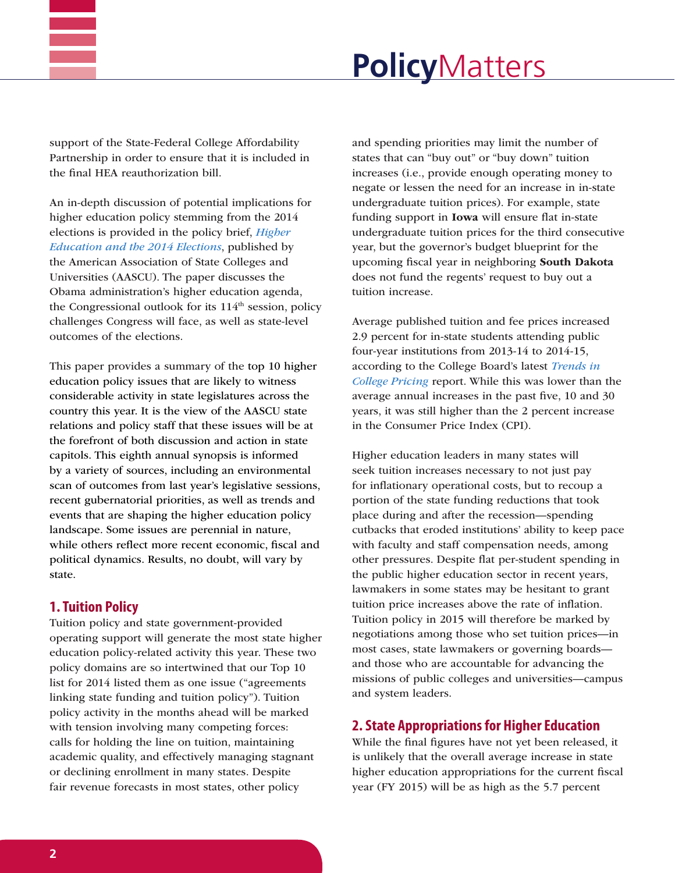

# **Policy**Matters

support of the State-Federal College Affordability Partnership in order to ensure that it is included in the final HEA reauthorization bill.

An in-depth discussion of potential implications for higher education policy stemming from the 2014 elections is provided in the policy brief, *[Higher](http://www.aascu.org/policy/publications/policy-matters/Elections2014.pdf)  [Education and the 2014 Elections](http://www.aascu.org/policy/publications/policy-matters/Elections2014.pdf)*, published by the American Association of State Colleges and Universities (AASCU). The paper discusses the Obama administration's higher education agenda, the Congressional outlook for its  $114<sup>th</sup>$  session, policy challenges Congress will face, as well as state-level outcomes of the elections.

This paper provides a summary of the top 10 higher education policy issues that are likely to witness considerable activity in state legislatures across the country this year. It is the view of the AASCU state relations and policy staff that these issues will be at the forefront of both discussion and action in state capitols. This eighth annual synopsis is informed by a variety of sources, including an environmental scan of outcomes from last year's legislative sessions, recent gubernatorial priorities, as well as trends and events that are shaping the higher education policy landscape. Some issues are perennial in nature, while others reflect more recent economic, fiscal and political dynamics. Results, no doubt, will vary by state.

## **1. Tuition Policy**

Tuition policy and state government-provided operating support will generate the most state higher education policy-related activity this year. These two policy domains are so intertwined that our Top 10 list for 2014 listed them as one issue ("agreements linking state funding and tuition policy"). Tuition policy activity in the months ahead will be marked with tension involving many competing forces: calls for holding the line on tuition, maintaining academic quality, and effectively managing stagnant or declining enrollment in many states. Despite fair revenue forecasts in most states, other policy

and spending priorities may limit the number of states that can "buy out" or "buy down" tuition increases (i.e., provide enough operating money to negate or lessen the need for an increase in in-state undergraduate tuition prices). For example, state funding support in Iowa will ensure flat in-state undergraduate tuition prices for the third consecutive year, but the governor's budget blueprint for the upcoming fiscal year in neighboring South Dakota does not fund the regents' request to buy out a tuition increase.

Average published tuition and fee prices increased 2.9 percent for in-state students attending public four-year institutions from 2013-14 to 2014-15, according to the College Board's latest *[Trends in](http://trends.collegeboard.org/sites/default/files/2014-trends-college-pricing-final-web.pdf)  [College Pricing](http://trends.collegeboard.org/sites/default/files/2014-trends-college-pricing-final-web.pdf)* report. While this was lower than the average annual increases in the past five, 10 and 30 years, it was still higher than the 2 percent increase in the Consumer Price Index (CPI).

Higher education leaders in many states will seek tuition increases necessary to not just pay for inflationary operational costs, but to recoup a portion of the state funding reductions that took place during and after the recession—spending cutbacks that eroded institutions' ability to keep pace with faculty and staff compensation needs, among other pressures. Despite flat per-student spending in the public higher education sector in recent years, lawmakers in some states may be hesitant to grant tuition price increases above the rate of inflation. Tuition policy in 2015 will therefore be marked by negotiations among those who set tuition prices—in most cases, state lawmakers or governing boards and those who are accountable for advancing the missions of public colleges and universities—campus and system leaders.

## **2. State Appropriations for Higher Education**

While the final figures have not yet been released, it is unlikely that the overall average increase in state higher education appropriations for the current fiscal year (FY 2015) will be as high as the 5.7 percent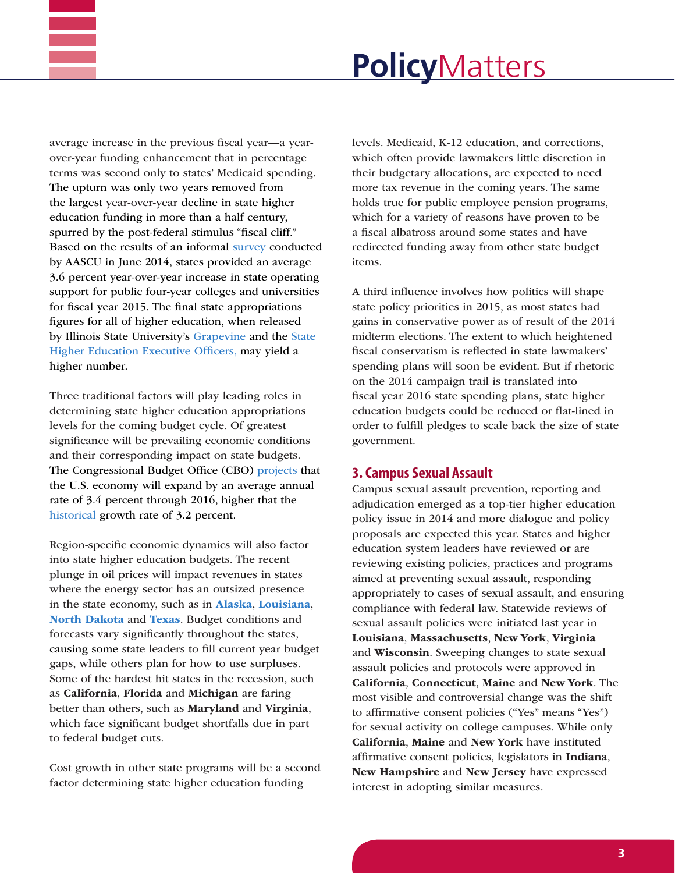

average increase in the previous fiscal year—a yearover-year funding enhancement that in percentage terms was second only to states' Medicaid spending. The upturn was only two years removed from the largest year-over-year decline in state higher education funding in more than a half century, spurred by the post-federal stimulus "fiscal cliff." Based on the results of an informal [survey](http://www.aascu.org/policy/publications/aascu-special-reports/stateoutlookjuly2014.pdf) conducted by AASCU in June 2014, states provided an average 3.6 percent year-over-year increase in state operating support for public four-year colleges and universities for fiscal year 2015. The final state appropriations figures for all of higher education, when released by Illinois State University's [Grapevine](http://education.illinoisstate.edu/grapevine/tables/) and the [State](http://www.sheeo.org/projects/shef-%E2%80%94-state-higher-education-finance)  [Higher Education Executive Officers](http://www.sheeo.org/projects/shef-%E2%80%94-state-higher-education-finance), may yield a higher number.

Three traditional factors will play leading roles in determining state higher education appropriations levels for the coming budget cycle. Of greatest significance will be prevailing economic conditions and their corresponding impact on state budgets. The Congressional Budget Office (CBO) [projects](https://www.cbo.gov/publication/45653) that the U.S. economy will expand by an average annual rate of 3.4 percent through 2016, higher that the [historical](http://www.tradingeconomics.com/united-states/gdp-growth) growth rate of 3.2 percent.

Region-specific economic dynamics will also factor into state higher education budgets. The recent plunge in oil prices will impact revenues in states where the energy sector has an outsized presence in the state economy, such as in [Alaska](http://www.washingtonpost.com/blogs/govbeat/wp/2014/12/19/why-low-oil-prices-could-be-bad-for-some-states/), [Louisiana](http://wwno.org/post/plunging-oil-prices-may-mean-more-cuts-higher-education), [North Dakota](http://www.governing.com/topics/finance/tns-north-dakota-oil-revenues.html) and [Texas](http://www.wsj.com/articles/BL-REB-29756). Budget conditions and forecasts vary significantly throughout the states, causing some state leaders to fill current year budget gaps, while others plan for how to use surpluses. Some of the hardest hit states in the recession, such as California, Florida and Michigan are faring better than others, such as **Maryland** and **Virginia**, which face significant budget shortfalls due in part to federal budget cuts.

Cost growth in other state programs will be a second factor determining state higher education funding

levels. Medicaid, K-12 education, and corrections, which often provide lawmakers little discretion in their budgetary allocations, are expected to need more tax revenue in the coming years. The same holds true for public employee pension programs, which for a variety of reasons have proven to be a fiscal albatross around some states and have redirected funding away from other state budget items.

A third influence involves how politics will shape state policy priorities in 2015, as most states had gains in conservative power as of result of the 2014 midterm elections. The extent to which heightened fiscal conservatism is reflected in state lawmakers' spending plans will soon be evident. But if rhetoric on the 2014 campaign trail is translated into fiscal year 2016 state spending plans, state higher education budgets could be reduced or flat-lined in order to fulfill pledges to scale back the size of state government.

#### **3. Campus Sexual Assault**

Campus sexual assault prevention, reporting and adjudication emerged as a top-tier higher education policy issue in 2014 and more dialogue and policy proposals are expected this year. States and higher education system leaders have reviewed or are reviewing existing policies, practices and programs aimed at preventing sexual assault, responding appropriately to cases of sexual assault, and ensuring compliance with federal law. Statewide reviews of sexual assault policies were initiated last year in Louisiana, Massachusetts, New York, Virginia and Wisconsin. Sweeping changes to state sexual assault policies and protocols were approved in California, Connecticut, Maine and New York. The most visible and controversial change was the shift to affirmative consent policies ("Yes" means "Yes") for sexual activity on college campuses. While only California, Maine and New York have instituted affirmative consent policies, legislators in Indiana, New Hampshire and New Jersey have expressed interest in adopting similar measures.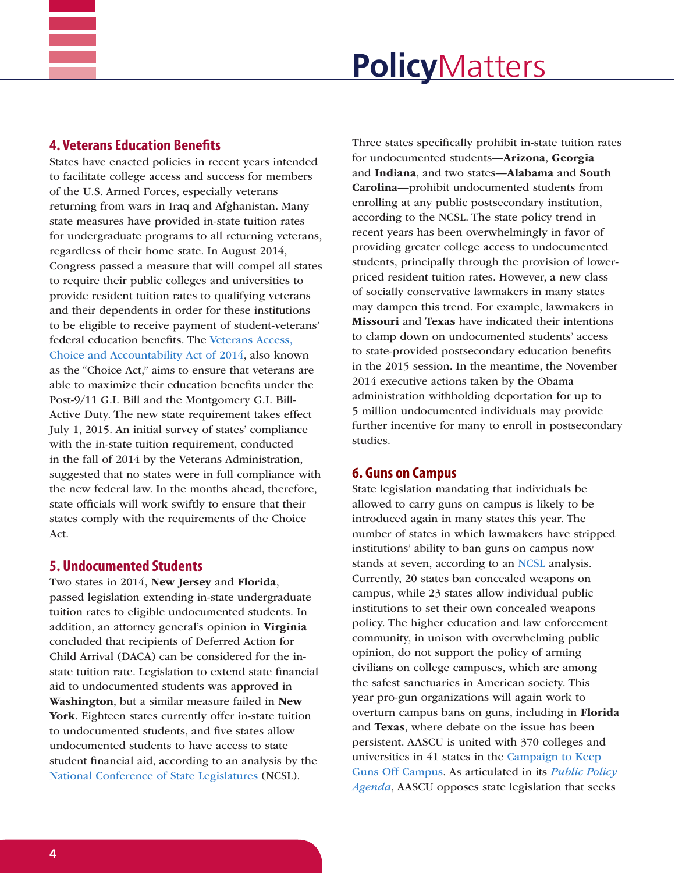

#### **4. Veterans Education Benefits**

States have enacted policies in recent years intended to facilitate college access and success for members of the U.S. Armed Forces, especially veterans returning from wars in Iraq and Afghanistan. Many state measures have provided in-state tuition rates for undergraduate programs to all returning veterans, regardless of their home state. In August 2014, Congress passed a measure that will compel all states to require their public colleges and universities to provide resident tuition rates to qualifying veterans and their dependents in order for these institutions to be eligible to receive payment of student-veterans' federal education benefits. The [Veterans Access,](http://www.benefits.va.gov/GIBILL/docs/factsheets/Section_702_Factsheet.pdf)  [Choice and Accountability Act of 2014](http://www.benefits.va.gov/GIBILL/docs/factsheets/Section_702_Factsheet.pdf), also known as the "Choice Act," aims to ensure that veterans are able to maximize their education benefits under the Post-9/11 G.I. Bill and the Montgomery G.I. Bill-Active Duty. The new state requirement takes effect July 1, 2015. An initial survey of states' compliance with the in-state tuition requirement, conducted in the fall of 2014 by the Veterans Administration, suggested that no states were in full compliance with the new federal law. In the months ahead, therefore, state officials will work swiftly to ensure that their states comply with the requirements of the Choice Act.

#### **5. Undocumented Students**

Two states in 2014, New Jersey and Florida, passed legislation extending in-state undergraduate tuition rates to eligible undocumented students. In addition, an attorney general's opinion in Virginia concluded that recipients of Deferred Action for Child Arrival (DACA) can be considered for the instate tuition rate. Legislation to extend state financial aid to undocumented students was approved in Washington, but a similar measure failed in New York. Eighteen states currently offer in-state tuition to undocumented students, and five states allow undocumented students to have access to state student financial aid, according to an analysis by the [National Conference of State Legislatures](http://www.ncsl.org/research/education/undocumented-student-tuition-overview.aspx) (NCSL).

Three states specifically prohibit in-state tuition rates for undocumented students—Arizona, Georgia and Indiana, and two states—Alabama and South Carolina—prohibit undocumented students from enrolling at any public postsecondary institution, according to the NCSL. The state policy trend in recent years has been overwhelmingly in favor of providing greater college access to undocumented students, principally through the provision of lowerpriced resident tuition rates. However, a new class of socially conservative lawmakers in many states may dampen this trend. For example, lawmakers in Missouri and Texas have indicated their intentions to clamp down on undocumented students' access to state-provided postsecondary education benefits in the 2015 session. In the meantime, the November 2014 executive actions taken by the Obama administration withholding deportation for up to 5 million undocumented individuals may provide further incentive for many to enroll in postsecondary studies.

#### **6. Guns on Campus**

State legislation mandating that individuals be allowed to carry guns on campus is likely to be introduced again in many states this year. The number of states in which lawmakers have stripped institutions' ability to ban guns on campus now stands at seven, according to an [NCSL](http://www.ncsl.org/research/education/guns-on-campus-overview.aspx) analysis. Currently, 20 states ban concealed weapons on campus, while 23 states allow individual public institutions to set their own concealed weapons policy. The higher education and law enforcement community, in unison with overwhelming public opinion, do not support the policy of arming civilians on college campuses, which are among the safest sanctuaries in American society. This year pro-gun organizations will again work to overturn campus bans on guns, including in Florida and Texas, where debate on the issue has been persistent. AASCU is united with 370 colleges and universities in 41 states in the [Campaign to Keep](http://keepgunsoffcampus.org/colleges-and-universities-list/)  [Guns Off Campus.](http://keepgunsoffcampus.org/colleges-and-universities-list/) As articulated in its *[Public Policy](http://www.aascu.org/policy/public-policy/2014publicpolicyagenda.pdf)  [Agenda](http://www.aascu.org/policy/public-policy/2014publicpolicyagenda.pdf)*, AASCU opposes state legislation that seeks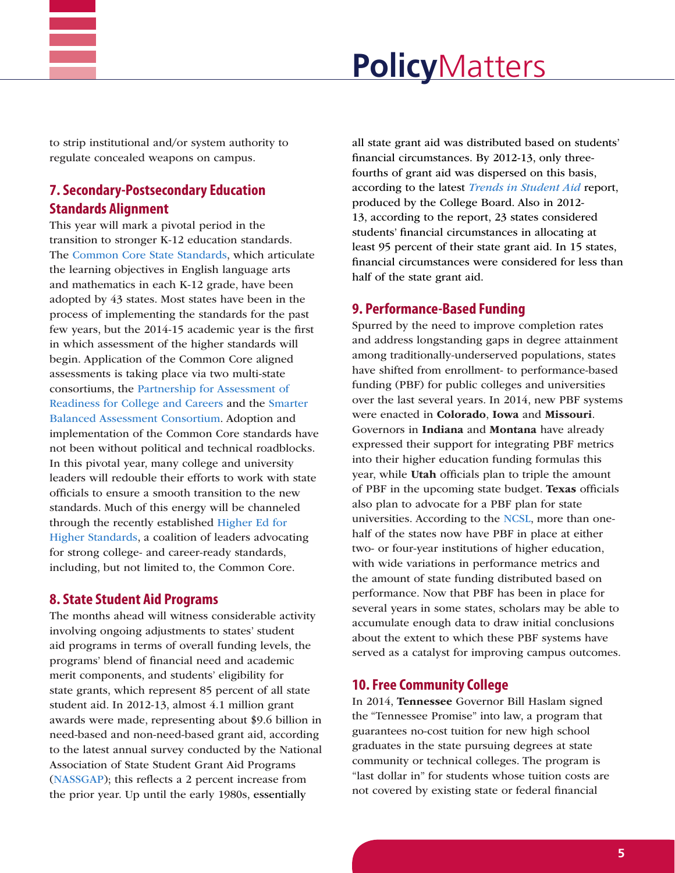

# **Policy**Matters

to strip institutional and/or system authority to regulate concealed weapons on campus.

## **7. Secondary-Postsecondary Education Standards Alignment**

This year will mark a pivotal period in the transition to stronger K-12 education standards. The [Common Core State Standards,](http://www.corestandards.org) which articulate the learning objectives in English language arts and mathematics in each K-12 grade, have been adopted by 43 states. Most states have been in the process of implementing the standards for the past few years, but the 2014-15 academic year is the first in which assessment of the higher standards will begin. Application of the Common Core aligned assessments is taking place via two multi-state consortiums, the [Partnership for Assessment of](http://www.parcconline.org/about-parcc)  [Readiness for College and Careers](http://www.parcconline.org/about-parcc) and the [Smarter](http://www.smarterbalanced.org/)  [Balanced Assessment Consortium.](http://www.smarterbalanced.org/) Adoption and implementation of the Common Core standards have not been without political and technical roadblocks. In this pivotal year, many college and university leaders will redouble their efforts to work with state officials to ensure a smooth transition to the new standards. Much of this energy will be channeled through the recently established [Higher Ed for](http://higheredforhigherstandards.org/)  [Higher Standards,](http://higheredforhigherstandards.org/) a coalition of leaders advocating for strong college- and career-ready standards, including, but not limited to, the Common Core.

### **8. State Student Aid Programs**

The months ahead will witness considerable activity involving ongoing adjustments to states' student aid programs in terms of overall funding levels, the programs' blend of financial need and academic merit components, and students' eligibility for state grants, which represent 85 percent of all state student aid. In 2012-13, almost 4.1 million grant awards were made, representing about \$9.6 billion in need-based and non-need-based grant aid, according to the latest annual survey conducted by the National Association of State Student Grant Aid Programs ([NASSGAP](http://nassgap.org/index.aspx)); this reflects a 2 percent increase from the prior year. Up until the early 1980s, essentially

all state grant aid was distributed based on students' financial circumstances. By 2012-13, only threefourths of grant aid was dispersed on this basis, according to the latest *[Trends in Student Aid](https://secure-media.collegeboard.org/digitalServices/misc/trends/2014-trends-student-aid-report-final.pdf)* report, produced by the College Board. Also in 2012- 13, according to the report, 23 states considered students' financial circumstances in allocating at least 95 percent of their state grant aid. In 15 states, financial circumstances were considered for less than half of the state grant aid.

#### **9. Performance-Based Funding**

Spurred by the need to improve completion rates and address longstanding gaps in degree attainment among traditionally-underserved populations, states have shifted from enrollment- to performance-based funding (PBF) for public colleges and universities over the last several years. In 2014, new PBF systems were enacted in Colorado, Iowa and Missouri. Governors in Indiana and Montana have already expressed their support for integrating PBF metrics into their higher education funding formulas this year, while Utah officials plan to triple the amount of PBF in the upcoming state budget. Texas officials also plan to advocate for a PBF plan for state universities. According to the [NCSL,](http://www.ncsl.org/research/education/performance-funding.aspx) more than onehalf of the states now have PBF in place at either two- or four-year institutions of higher education, with wide variations in performance metrics and the amount of state funding distributed based on performance. Now that PBF has been in place for several years in some states, scholars may be able to accumulate enough data to draw initial conclusions about the extent to which these PBF systems have served as a catalyst for improving campus outcomes.

### **10. Free Community College**

In 2014, Tennessee Governor Bill Haslam signed the "Tennessee Promise" into law, a program that guarantees no-cost tuition for new high school graduates in the state pursuing degrees at state community or technical colleges. The program is "last dollar in" for students whose tuition costs are not covered by existing state or federal financial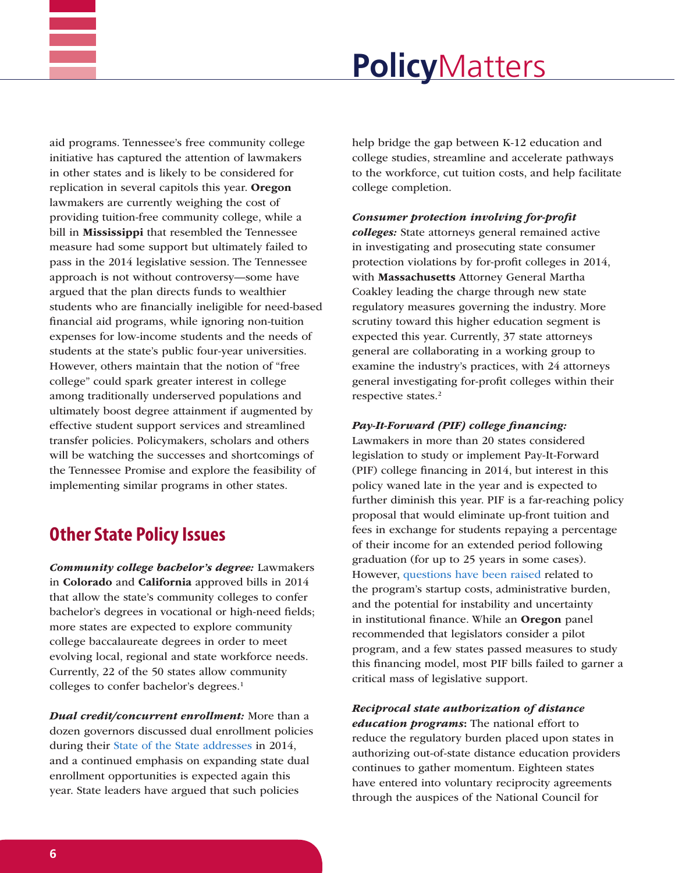

aid programs. Tennessee's free community college initiative has captured the attention of lawmakers in other states and is likely to be considered for replication in several capitols this year. Oregon lawmakers are currently weighing the cost of providing tuition-free community college, while a bill in Mississippi that resembled the Tennessee measure had some support but ultimately failed to pass in the 2014 legislative session. The Tennessee approach is not without controversy—some have argued that the plan directs funds to wealthier students who are financially ineligible for need-based financial aid programs, while ignoring non-tuition expenses for low-income students and the needs of students at the state's public four-year universities. However, others maintain that the notion of "free college" could spark greater interest in college among traditionally underserved populations and ultimately boost degree attainment if augmented by effective student support services and streamlined transfer policies. Policymakers, scholars and others will be watching the successes and shortcomings of the Tennessee Promise and explore the feasibility of implementing similar programs in other states.

# **Other State Policy Issues**

*Community college bachelor's degree:* Lawmakers in Colorado and California approved bills in 2014 that allow the state's community colleges to confer bachelor's degrees in vocational or high-need fields; more states are expected to explore community college baccalaureate degrees in order to meet evolving local, regional and state workforce needs. Currently, 22 of the 50 states allow community colleges to confer bachelor's degrees.<sup>1</sup>

*Dual credit/concurrent enrollment:* More than a dozen governors discussed dual enrollment policies during their [State of the State addresses](https://www.magnetmail.net/actions/email_web_version.cfm?message_id=3817560&user_id=AASCU) in 2014, and a continued emphasis on expanding state dual enrollment opportunities is expected again this year. State leaders have argued that such policies

help bridge the gap between K-12 education and college studies, streamline and accelerate pathways to the workforce, cut tuition costs, and help facilitate college completion.

#### *Consumer protection involving for-profit*

*colleges:* State attorneys general remained active in investigating and prosecuting state consumer protection violations by for-profit colleges in 2014, with Massachusetts Attorney General Martha Coakley leading the charge through new state regulatory measures governing the industry. More scrutiny toward this higher education segment is expected this year. Currently, 37 state attorneys general are collaborating in a working group to examine the industry's practices, with 24 attorneys general investigating for-profit colleges within their respective states.2

#### *Pay-It-Forward (PIF) college financing:*

Lawmakers in more than 20 states considered legislation to study or implement Pay-It-Forward (PIF) college financing in 2014, but interest in this policy waned late in the year and is expected to further diminish this year. PIF is a far-reaching policy proposal that would eliminate up-front tuition and fees in exchange for students repaying a percentage of their income for an extended period following graduation (for up to 25 years in some cases). However, [questions have been raised](http://www.aascu.org/policy/publications/policy-matters/PayItForward.pdf) related to the program's startup costs, administrative burden, and the potential for instability and uncertainty in institutional finance. While an Oregon panel recommended that legislators consider a pilot program, and a few states passed measures to study this financing model, most PIF bills failed to garner a critical mass of legislative support.

*Reciprocal state authorization of distance education programs*: The national effort to

reduce the regulatory burden placed upon states in authorizing out-of-state distance education providers continues to gather momentum. Eighteen states have entered into voluntary reciprocity agreements through the auspices of the National Council for